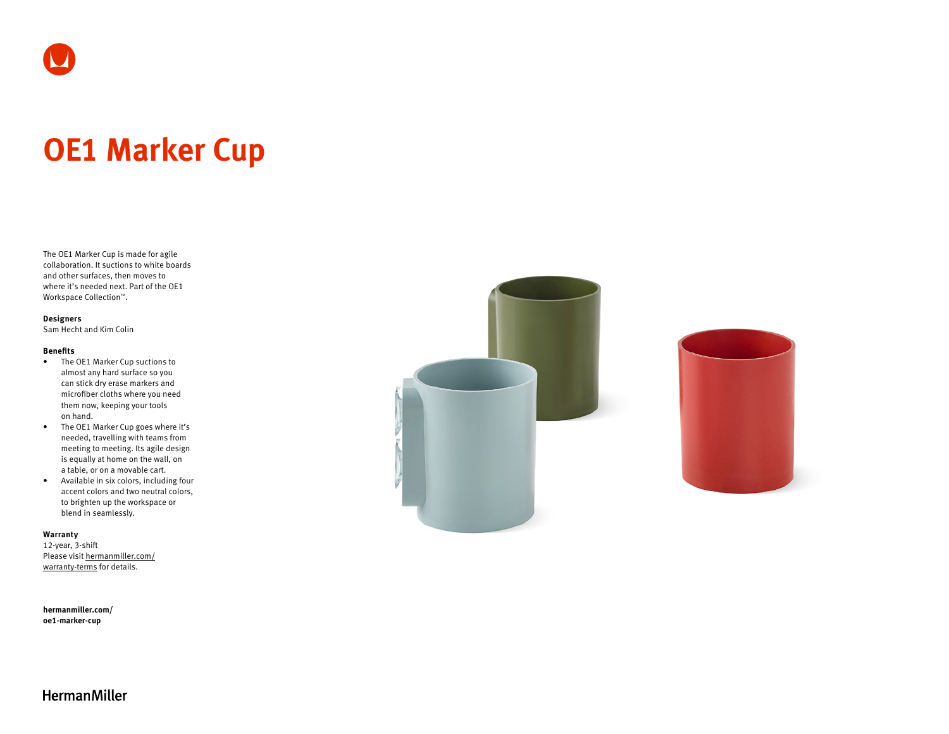# **OE1 Marker Cup**

The OE1 Marker Cup is made for agile collaboration. It suctions to white boards and other surfaces, then moves to where it's needed next. Part of the OE1 Workspace Collection™.

## **Designers**

Sam Hecht and Kim Colin

## **Benefits**

- The OE1 Marker Cup suctions to almost any hard surface so you can stick dry erase markers and microfiber cloths where you need them now, keeping your tools on hand.
- The OE1 Marker Cup goes where it's needed, travelling with teams from meeting to meeting. Its agile design is equally at home on the wall, on a table, or on a movable cart.
- Available in six colors, including four accent colors and two neutral colors, to brighten up the workspace or blend in seamlessly.

## **Warranty**

12-year, 3-shift Please visit [hermanmiller.com/](https://hermanmiller.com/warranty-terms) [warranty-terms](https://hermanmiller.com/warranty-terms) for details.

**[hermanmiller.com/](https://hermanmiller.com/oe1-marker-cup) [oe1-m](https://hermanmiller.com/oe1-marker-cup)arker-cup**